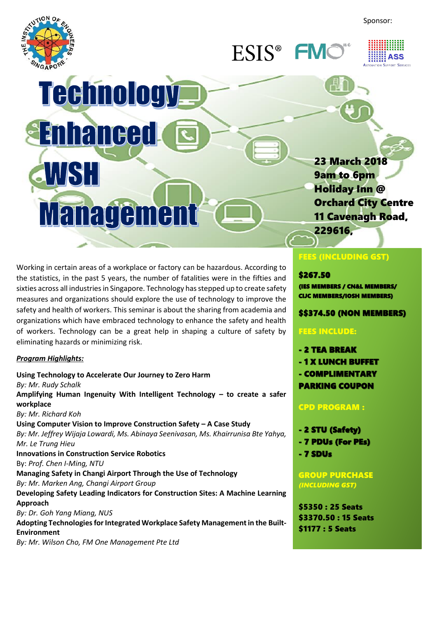Sponsor:



ESIS<sup>®</sup> FN



# Technology -*<u>Enhanced</u>* WST Management

Working in certain areas of a workplace or factory can be hazardous. According to the statistics, in the past 5 years, the number of fatalities were in the fifties and sixties across all industries in Singapore. Technology has stepped up to create safety measures and organizations should explore the use of technology to improve the safety and health of workers. This seminar is about the sharing from academia and organizations which have embraced technology to enhance the safety and health of workers. Technology can be a great help in shaping a culture of safety by eliminating hazards or minimizing risk.

## *Program Highlights:*

**Using Technology to Accelerate Our Journey to Zero Harm** *By: Mr. Rudy Schalk* **Amplifying Human Ingenuity With Intelligent Technology – to create a safer workplace** *By: Mr. Richard Koh* **Using Computer Vision to Improve Construction Safety – A Case Study** *By: Mr. Jeffrey Wijaja Lowardi, Ms. Abinaya Seenivasan, Ms. Khairrunisa Bte Yahya, Mr. Le Trung Hieu* **Innovations in Construction Service Robotics** By: *Prof. Chen I-Ming, NTU* **Managing Safety in Changi Airport Through the Use of Technology** *By: Mr. Marken Ang, Changi Airport Group* **Developing Safety Leading Indicators for Construction Sites: A Machine Learning Approach** *By: Dr. Goh Yang Miang, NUS* **Adopting Technologies for Integrated Workplace Safety Management in the Built-Environment** *By: Mr. Wilson Cho, FM One Management Pte Ltd*

## FEES (INCLUDING GST)

229616,

23 March 2018

Orchard City Centre 11 Cavenagh Road,

 $\overline{\phantom{a}}$ 

9am to 6pm Holiday Inn @

#### \$267.50

(IES MEMBERS / CN&L MEMBERS/ CIJC MEMBERS/IOSH MEMBERS)

## \$\$374.50 (NON MEMBERS)

## FEES INCLUDE:

- 2 TEA BREAK
- 1 X LUNCH BUFFET
- COMPLIMENTARY
- PARKING COUPON

## CPD PROGRAM :

- 2 STU (Safety)
- 7 PDUs (For PEs)
- 7 SDUs

## GROUP PURCHASE *(INCLUDING GST)*

\$5350 : 25 Seats \$3370.50 : 15 Seats \$1177 : 5 Seats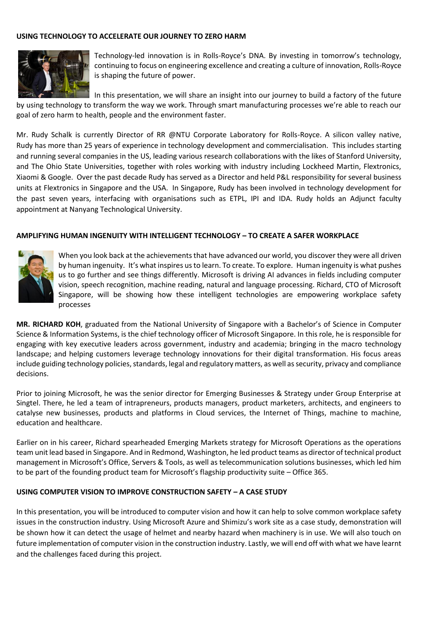### **USING TECHNOLOGY TO ACCELERATE OUR JOURNEY TO ZERO HARM**



Technology-led innovation is in Rolls-Royce's DNA. By investing in tomorrow's technology, continuing to focus on engineering excellence and creating a culture of innovation, Rolls-Royce is shaping the future of power.

In this presentation, we will share an insight into our journey to build a factory of the future by using technology to transform the way we work. Through smart manufacturing processes we're able to reach our goal of zero harm to health, people and the environment faster.

Mr. Rudy Schalk is currently Director of RR @NTU Corporate Laboratory for Rolls-Royce. A silicon valley native, Rudy has more than 25 years of experience in technology development and commercialisation. This includes starting and running several companies in the US, leading various research collaborations with the likes of Stanford University, and The Ohio State Universities, together with roles working with industry including Lockheed Martin, Flextronics, Xiaomi & Google. Over the past decade Rudy has served as a Director and held P&L responsibility for several business units at Flextronics in Singapore and the USA. In Singapore, Rudy has been involved in technology development for the past seven years, interfacing with organisations such as ETPL, IPI and IDA. Rudy holds an Adjunct faculty appointment at Nanyang Technological University.

#### **AMPLIFYING HUMAN INGENUITY WITH INTELLIGENT TECHNOLOGY – TO CREATE A SAFER WORKPLACE**



When you look back at the achievements that have advanced our world, you discover they were all driven by human ingenuity. It's what inspires us to learn. To create. To explore. Human ingenuity is what pushes us to go further and see things differently. Microsoft is driving AI advances in fields including computer vision, speech recognition, machine reading, natural and language processing. Richard, CTO of Microsoft Singapore, will be showing how these intelligent technologies are empowering workplace safety processes

**MR. RICHARD KOH**, graduated from the National University of Singapore with a Bachelor's of Science in Computer Science & Information Systems, is the chief technology officer of Microsoft Singapore. In this role, he is responsible for engaging with key executive leaders across government, industry and academia; bringing in the macro technology landscape; and helping customers leverage technology innovations for their digital transformation. His focus areas include guiding technology policies, standards, legal and regulatory matters, as well as security, privacy and compliance decisions.

Prior to joining Microsoft, he was the senior director for Emerging Businesses & Strategy under Group Enterprise at Singtel. There, he led a team of intrapreneurs, products managers, product marketers, architects, and engineers to catalyse new businesses, products and platforms in Cloud services, the Internet of Things, machine to machine, education and healthcare.

Earlier on in his career, Richard spearheaded Emerging Markets strategy for Microsoft Operations as the operations team unit lead based in Singapore. And in Redmond, Washington, he led product teams as director of technical product management in Microsoft's Office, Servers & Tools, as well as telecommunication solutions businesses, which led him to be part of the founding product team for Microsoft's flagship productivity suite – Office 365.

#### **USING COMPUTER VISION TO IMPROVE CONSTRUCTION SAFETY – A CASE STUDY**

In this presentation, you will be introduced to computer vision and how it can help to solve common workplace safety issues in the construction industry. Using Microsoft Azure and Shimizu's work site as a case study, demonstration will be shown how it can detect the usage of helmet and nearby hazard when machinery is in use. We will also touch on future implementation of computer vision in the construction industry. Lastly, we will end off with what we have learnt and the challenges faced during this project.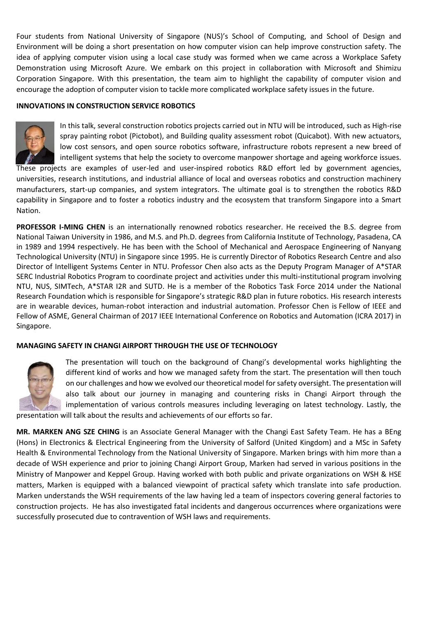Four students from National University of Singapore (NUS)'s School of Computing, and School of Design and Environment will be doing a short presentation on how computer vision can help improve construction safety. The idea of applying computer vision using a local case study was formed when we came across a Workplace Safety Demonstration using Microsoft Azure. We embark on this project in collaboration with Microsoft and Shimizu Corporation Singapore. With this presentation, the team aim to highlight the capability of computer vision and encourage the adoption of computer vision to tackle more complicated workplace safety issues in the future.

#### **INNOVATIONS IN CONSTRUCTION SERVICE ROBOTICS**



In this talk, several construction robotics projects carried out in NTU will be introduced, such as High-rise spray painting robot (Pictobot), and Building quality assessment robot (Quicabot). With new actuators, low cost sensors, and open source robotics software, infrastructure robots represent a new breed of intelligent systems that help the society to overcome manpower shortage and ageing workforce issues.

These projects are examples of user-led and user-inspired robotics R&D effort led by government agencies, universities, research institutions, and industrial alliance of local and overseas robotics and construction machinery manufacturers, start-up companies, and system integrators. The ultimate goal is to strengthen the robotics R&D capability in Singapore and to foster a robotics industry and the ecosystem that transform Singapore into a Smart Nation.

**PROFESSOR I-MING CHEN** is an internationally renowned robotics researcher. He received the B.S. degree from National Taiwan University in 1986, and M.S. and Ph.D. degrees from California Institute of Technology, Pasadena, CA in 1989 and 1994 respectively. He has been with the School of Mechanical and Aerospace Engineering of Nanyang Technological University (NTU) in Singapore since 1995. He is currently Director of Robotics Research Centre and also Director of Intelligent Systems Center in NTU. Professor Chen also acts as the Deputy Program Manager of A\*STAR SERC Industrial Robotics Program to coordinate project and activities under this multi-institutional program involving NTU, NUS, SIMTech, A\*STAR I2R and SUTD. He is a member of the Robotics Task Force 2014 under the National Research Foundation which is responsible for Singapore's strategic R&D plan in future robotics. His research interests are in wearable devices, human-robot interaction and industrial automation. Professor Chen is Fellow of IEEE and Fellow of ASME, General Chairman of 2017 IEEE International Conference on Robotics and Automation (ICRA 2017) in Singapore.

#### **MANAGING SAFETY IN CHANGI AIRPORT THROUGH THE USE OF TECHNOLOGY**



The presentation will touch on the background of Changi's developmental works highlighting the different kind of works and how we managed safety from the start. The presentation will then touch on our challenges and how we evolved our theoretical model for safety oversight. The presentation will also talk about our journey in managing and countering risks in Changi Airport through the implementation of various controls measures including leveraging on latest technology. Lastly, the presentation will talk about the results and achievements of our efforts so far.

**MR. MARKEN ANG SZE CHING** is an Associate General Manager with the Changi East Safety Team. He has a BEng (Hons) in Electronics & Electrical Engineering from the University of Salford (United Kingdom) and a MSc in Safety Health & Environmental Technology from the National University of Singapore. Marken brings with him more than a decade of WSH experience and prior to joining Changi Airport Group, Marken had served in various positions in the Ministry of Manpower and Keppel Group. Having worked with both public and private organizations on WSH & HSE matters, Marken is equipped with a balanced viewpoint of practical safety which translate into safe production. Marken understands the WSH requirements of the law having led a team of inspectors covering general factories to construction projects. He has also investigated fatal incidents and dangerous occurrences where organizations were successfully prosecuted due to contravention of WSH laws and requirements.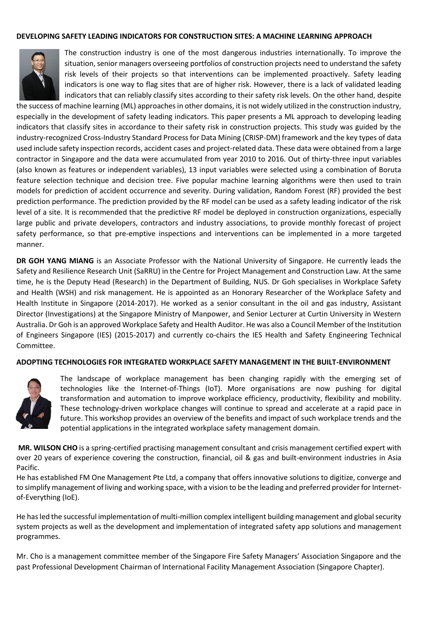#### **DEVELOPING SAFETY LEADING INDICATORS FOR CONSTRUCTION SITES: A MACHINE LEARNING APPROACH**



The construction industry is one of the most dangerous industries internationally. To improve the situation, senior managers overseeing portfolios of construction projects need to understand the safety risk levels of their projects so that interventions can be implemented proactively. Safety leading indicators is one way to flag sites that are of higher risk. However, there is a lack of validated leading indicators that can reliably classify sites according to their safety risk levels. On the other hand, despite

the success of machine learning (ML) approaches in other domains, it is not widely utilized in the construction industry, especially in the development of safety leading indicators. This paper presents a ML approach to developing leading indicators that classify sites in accordance to their safety risk in construction projects. This study was guided by the industry-recognized Cross-Industry Standard Process for Data Mining (CRISP-DM) framework and the key types of data used include safety inspection records, accident cases and project-related data. These data were obtained from a large contractor in Singapore and the data were accumulated from year 2010 to 2016. Out of thirty-three input variables (also known as features or independent variables), 13 input variables were selected using a combination of Boruta feature selection technique and decision tree. Five popular machine learning algorithms were then used to train models for prediction of accident occurrence and severity. During validation, Random Forest (RF) provided the best prediction performance. The prediction provided by the RF model can be used as a safety leading indicator of the risk level of a site. It is recommended that the predictive RF model be deployed in construction organizations, especially large public and private developers, contractors and industry associations, to provide monthly forecast of project safety performance, so that pre-emptive inspections and interventions can be implemented in a more targeted manner.

**DR GOH YANG MIANG** is an Associate Professor with the National University of Singapore. He currently leads the Safety and Resilience Research Unit (SaRRU) in the Centre for Project Management and Construction Law. At the same time, he is the Deputy Head (Research) in the Department of Building, NUS. Dr Goh specialises in Workplace Safety and Health (WSH) and risk management. He is appointed as an Honorary Researcher of the Workplace Safety and Health Institute in Singapore (2014-2017). He worked as a senior consultant in the oil and gas industry, Assistant Director (Investigations) at the Singapore Ministry of Manpower, and Senior Lecturer at Curtin University in Western Australia. Dr Goh is an approved Workplace Safety and Health Auditor. He was also a Council Member of the Institution of Engineers Singapore (IES) (2015-2017) and currently co-chairs the IES Health and Safety Engineering Technical Committee.

#### **ADOPTING TECHNOLOGIES FOR INTEGRATED WORKPLACE SAFETY MANAGEMENT IN THE BUILT-ENVIRONMENT**



The landscape of workplace management has been changing rapidly with the emerging set of technologies like the Internet-of-Things (IoT). More organisations are now pushing for digital transformation and automation to improve workplace efficiency, productivity, flexibility and mobility. These technology-driven workplace changes will continue to spread and accelerate at a rapid pace in future. This workshop provides an overview of the benefits and impact of such workplace trends and the potential applications in the integrated workplace safety management domain.

**MR. WILSON CHO** is a spring-certified practising management consultant and crisis management certified expert with over 20 years of experience covering the construction, financial, oil & gas and built-environment industries in Asia Pacific.

He has established FM One Management Pte Ltd, a company that offers innovative solutions to digitize, converge and to simplify management of living and working space, with a vision to be the leading and preferred provider for Internetof-Everything (IoE).

He has led the successful implementation of multi-million complex intelligent building management and global security system projects as well as the development and implementation of integrated safety app solutions and management programmes.

Mr. Cho is a management committee member of the Singapore Fire Safety Managers' Association Singapore and the past Professional Development Chairman of International Facility Management Association (Singapore Chapter).